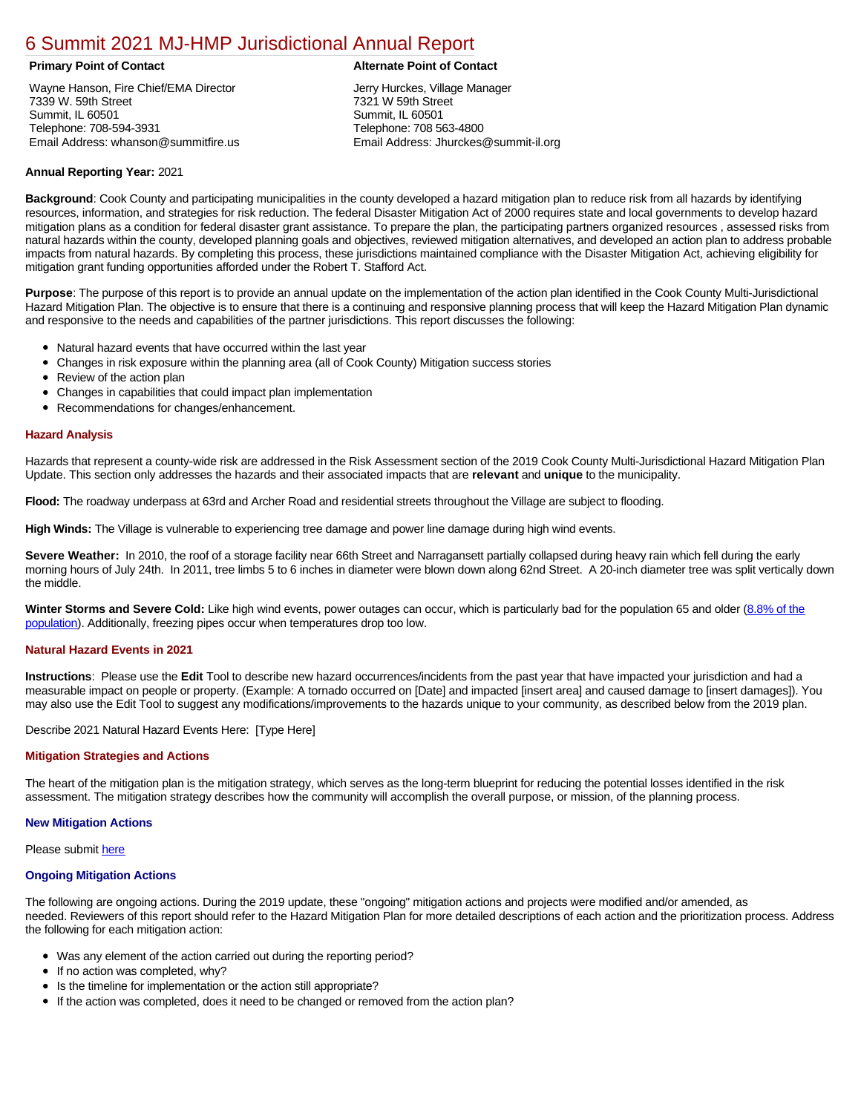# [6 Summit 2021 MJ-HMP Jurisdictional Annual Report](https://summit.isc-cemp.com/Cemp/Details?id=8322927)

Wayne Hanson, Fire Chief/EMA Director 7339 W. 59th Street Summit, IL 60501 Telephone: 708-594-3931 Email Address: whanson@summitfire.us

# **Primary Point of Contact Alternate Point of Contact**

Jerry Hurckes, Village Manager 7321 W 59th Street Summit, IL 60501 Telephone: 708 563-4800 Email Address: Jhurckes@summit-il.org

# **Annual Reporting Year:** 2021

**Background**: Cook County and participating municipalities in the county developed a hazard mitigation plan to reduce risk from all hazards by identifying resources, information, and strategies for risk reduction. The federal Disaster Mitigation Act of 2000 requires state and local governments to develop hazard mitigation plans as a condition for federal disaster grant assistance. To prepare the plan, the participating partners organized resources , assessed risks from natural hazards within the county, developed planning goals and objectives, reviewed mitigation alternatives, and developed an action plan to address probable impacts from natural hazards. By completing this process, these jurisdictions maintained compliance with the Disaster Mitigation Act, achieving eligibility for mitigation grant funding opportunities afforded under the Robert T. Stafford Act.

**Purpose**: The purpose of this report is to provide an annual update on the implementation of the action plan identified in the Cook County Multi-Jurisdictional Hazard Mitigation Plan. The objective is to ensure that there is a continuing and responsive planning process that will keep the Hazard Mitigation Plan dynamic and responsive to the needs and capabilities of the partner jurisdictions. This report discusses the following:

- Natural hazard events that have occurred within the last year
- $\bullet$ Changes in risk exposure within the planning area (all of Cook County) Mitigation success stories
- Review of the action plan  $\bullet$
- $\bullet$ Changes in capabilities that could impact plan implementation
- Recommendations for changes/enhancement.  $\bullet$

### **Hazard Analysis**

Hazards that represent a county-wide risk are addressed in the Risk Assessment section of the 2019 Cook County Multi-Jurisdictional Hazard Mitigation Plan Update. This section only addresses the hazards and their associated impacts that are **relevant** and **unique** to the municipality.

**Flood:** The roadway underpass at 63rd and Archer Road and residential streets throughout the Village are subject to flooding.

**High Winds:** The Village is vulnerable to experiencing tree damage and power line damage during high wind events.

**Severe Weather:** In 2010, the roof of a storage facility near 66th Street and Narragansett partially collapsed during heavy rain which fell during the early morning hours of July 24th. In 2011, tree limbs 5 to 6 inches in diameter were blown down along 62nd Street. A 20-inch diameter tree was split vertically down the middle.

Winter Storms and Severe Cold: [Like high wind events, power outages can occur, which is particularly bad for the population 65 and older \(8.8% of the](https://factfinder.census.gov/faces/nav/jsf/pages/index.xhtml) population). Additionally, freezing pipes occur when temperatures drop too low.

# **Natural Hazard Events in 2021**

**Instructions**: Please use the **Edit** Tool to describe new hazard occurrences/incidents from the past year that have impacted your jurisdiction and had a measurable impact on people or property. (Example: A tornado occurred on [Date] and impacted [insert area] and caused damage to [insert damages]). You may also use the Edit Tool to suggest any modifications/improvements to the hazards unique to your community, as described below from the 2019 plan.

Describe 2021 Natural Hazard Events Here: [Type Here]

# **Mitigation Strategies and Actions**

The heart of the mitigation plan is the mitigation strategy, which serves as the long-term blueprint for reducing the potential losses identified in the risk assessment. The mitigation strategy describes how the community will accomplish the overall purpose, or mission, of the planning process.

# **New Mitigation Actions**

Please submit [here](https://integratedsolutions.wufoo.com/forms/mg21jvf0jn639o/)

# **Ongoing Mitigation Actions**

The following are ongoing actions. During the 2019 update, these "ongoing" mitigation actions and projects were modified and/or amended, as needed. Reviewers of this report should refer to the Hazard Mitigation Plan for more detailed descriptions of each action and the prioritization process. Address the following for each mitigation action:

- Was any element of the action carried out during the reporting period?
- If no action was completed, why?  $\bullet$
- $\bullet$ Is the timeline for implementation or the action still appropriate?
- If the action was completed, does it need to be changed or removed from the action plan?